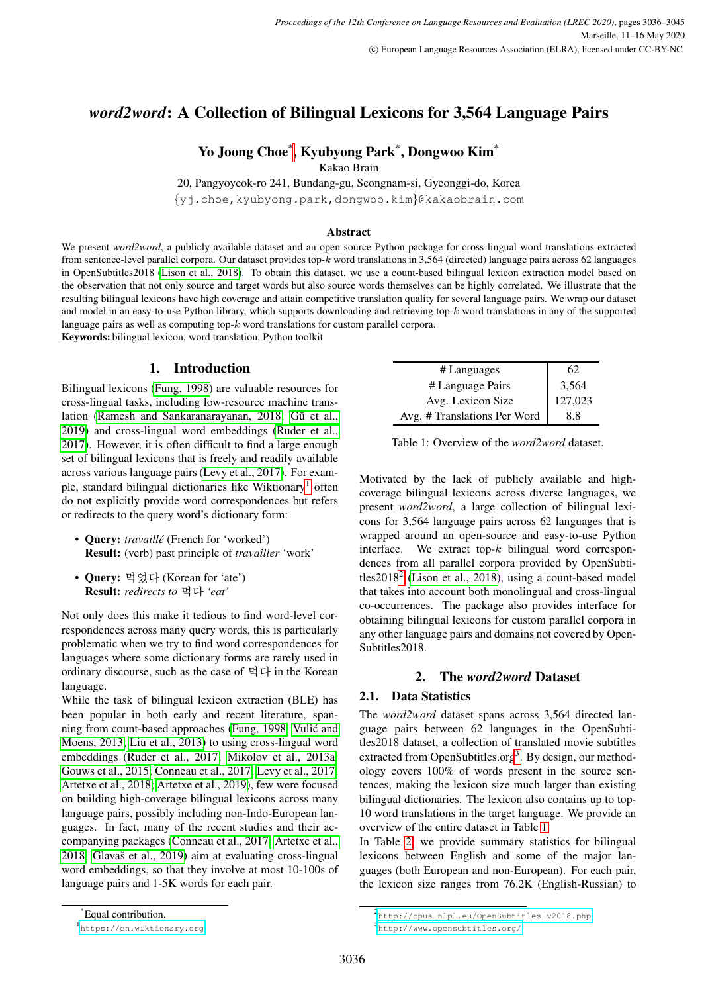# *word2word*: A Collection of Bilingual Lexicons for 3,564 Language Pairs

# Yo Joong Choe\* , Kyubyong Park\* , Dongwoo Kim\*

Kakao Brain

20, Pangyoyeok-ro 241, Bundang-gu, Seongnam-si, Gyeonggi-do, Korea {yj.choe,kyubyong.park,dongwoo.kim}@kakaobrain.com

### Abstract

We present *word2word*, a publicly available dataset and an open-source Python package for cross-lingual word translations extracted from sentence-level parallel corpora. Our dataset provides top-k word translations in 3,564 (directed) language pairs across 62 languages in OpenSubtitles2018 [\(Lison et al., 2018\)](#page-6-0). To obtain this dataset, we use a count-based bilingual lexicon extraction model based on the observation that not only source and target words but also source words themselves can be highly correlated. We illustrate that the resulting bilingual lexicons have high coverage and attain competitive translation quality for several language pairs. We wrap our dataset and model in an easy-to-use Python library, which supports downloading and retrieving top- $k$  word translations in any of the supported language pairs as well as computing top- $k$  word translations for custom parallel corpora.

Keywords: bilingual lexicon, word translation, Python toolkit

# 1. Introduction

Bilingual lexicons [\(Fung, 1998\)](#page-5-0) are valuable resources for cross-lingual tasks, including low-resource machine trans-lation [\(Ramesh and Sankaranarayanan, 2018;](#page-6-1) Gū et al., [2019\)](#page-6-2) and cross-lingual word embeddings [\(Ruder et al.,](#page-6-3) [2017\)](#page-6-3). However, it is often difficult to find a large enough set of bilingual lexicons that is freely and readily available across various language pairs [\(Levy et al., 2017\)](#page-6-4). For exam-ple, standard bilingual dictionaries like Wiktionary<sup>[1](#page-0-0)</sup> often do not explicitly provide word correspondences but refers or redirects to the query word's dictionary form:

- **Ouery:** *travaillé* (French for 'worked') Result: (verb) past principle of *travailler* 'work'
- Ouerv: 먹었다 (Korean for 'ate') Result: *redirects to* 먹다 *'eat'*

Not only does this make it tedious to find word-level correspondences across many query words, this is particularly problematic when we try to find word correspondences for languages where some dictionary forms are rarely used in ordinary discourse, such as the case of 먹다 in the Korean language.

While the task of bilingual lexicon extraction (BLE) has been popular in both early and recent literature, spanning from count-based approaches [\(Fung, 1998;](#page-5-0) [Vulic and](#page-6-5) ´ [Moens, 2013;](#page-6-5) [Liu et al., 2013\)](#page-6-6) to using cross-lingual word embeddings [\(Ruder et al., 2017;](#page-6-3) [Mikolov et al., 2013a;](#page-6-7) [Gouws et al., 2015;](#page-5-1) [Conneau et al., 2017;](#page-5-2) [Levy et al., 2017;](#page-6-4) [Artetxe et al., 2018;](#page-5-3) [Artetxe et al., 2019\)](#page-5-4), few were focused on building high-coverage bilingual lexicons across many language pairs, possibly including non-Indo-European languages. In fact, many of the recent studies and their accompanying packages [\(Conneau et al., 2017;](#page-5-2) [Artetxe et al.,](#page-5-3)  $2018$ ; Glavaš et al.,  $2019$ ) aim at evaluating cross-lingual word embeddings, so that they involve at most 10-100s of language pairs and 1-5K words for each pair.

<span id="page-0-3"></span>

| # Languages                  | 62      |
|------------------------------|---------|
| # Language Pairs             | 3,564   |
| Avg. Lexicon Size            | 127,023 |
| Avg. # Translations Per Word | 8.8     |

Table 1: Overview of the *word2word* dataset.

Motivated by the lack of publicly available and highcoverage bilingual lexicons across diverse languages, we present *word2word*, a large collection of bilingual lexicons for 3,564 language pairs across 62 languages that is wrapped around an open-source and easy-to-use Python interface. We extract top- $k$  bilingual word correspondences from all parallel corpora provided by OpenSubtitles $2018<sup>2</sup>$  $2018<sup>2</sup>$  [\(Lison et al., 2018\)](#page-6-0), using a count-based model that takes into account both monolingual and cross-lingual co-occurrences. The package also provides interface for obtaining bilingual lexicons for custom parallel corpora in any other language pairs and domains not covered by Open-Subtitles2018.

### 2. The *word2word* Dataset

### 2.1. Data Statistics

The *word2word* dataset spans across 3,564 directed language pairs between 62 languages in the OpenSubtitles2018 dataset, a collection of translated movie subtitles extracted from OpenSubtitles.org<sup>[3](#page-0-2)</sup>. By design, our methodology covers 100% of words present in the source sentences, making the lexicon size much larger than existing bilingual dictionaries. The lexicon also contains up to top-10 word translations in the target language. We provide an overview of the entire dataset in Table [1.](#page-0-3)

In Table [2,](#page-1-0) we provide summary statistics for bilingual lexicons between English and some of the major languages (both European and non-European). For each pair, the lexicon size ranges from 76.2K (English-Russian) to

<sup>\*</sup>Equal contribution.

<span id="page-0-0"></span><sup>1</sup> <https://en.wiktionary.org>

<span id="page-0-2"></span><span id="page-0-1"></span><sup>2</sup> <http://opus.nlpl.eu/OpenSubtitles-v2018.php> 3 <http://www.opensubtitles.org/>

<sup>3036</sup>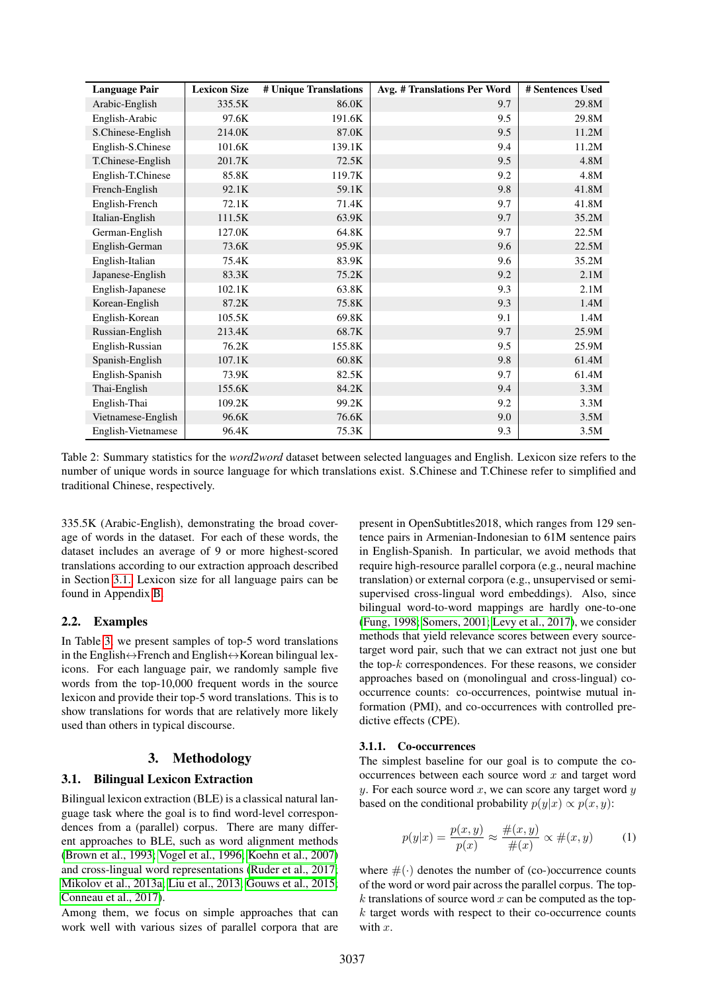| <b>Language Pair</b> | <b>Lexicon Size</b> | # Unique Translations | Avg. # Translations Per Word | # Sentences Used |
|----------------------|---------------------|-----------------------|------------------------------|------------------|
| Arabic-English       | 335.5K              | 86.0K                 | 9.7                          | 29.8M            |
| English-Arabic       | 97.6K               | 191.6K                | 9.5                          | 29.8M            |
| S.Chinese-English    | 214.0K              | 87.0K                 | 9.5                          | 11.2M            |
| English-S.Chinese    | 101.6K              | 139.1K                | 9.4                          | 11.2M            |
| T.Chinese-English    | 201.7K              | 72.5K                 | 9.5                          | 4.8M             |
| English-T.Chinese    | 85.8K               | 119.7K                | 9.2                          | 4.8M             |
| French-English       | 92.1K               | 59.1K                 | 9.8                          | 41.8M            |
| English-French       | 72.1K               | 71.4K                 | 9.7                          | 41.8M            |
| Italian-English      | 111.5K              | 63.9K                 | 9.7                          | 35.2M            |
| German-English       | 127.0K              | 64.8K                 | 9.7                          | 22.5M            |
| English-German       | 73.6K               | 95.9K                 | 9.6                          | 22.5M            |
| English-Italian      | 75.4K               | 83.9K                 | 9.6                          | 35.2M            |
| Japanese-English     | 83.3K               | 75.2K                 | 9.2                          | 2.1M             |
| English-Japanese     | 102.1K              | 63.8K                 | 9.3                          | 2.1M             |
| Korean-English       | 87.2K               | 75.8K                 | 9.3                          | 1.4M             |
| English-Korean       | 105.5K              | 69.8K                 | 9.1                          | 1.4M             |
| Russian-English      | 213.4K              | 68.7K                 | 9.7                          | 25.9M            |
| English-Russian      | 76.2K               | 155.8K                | 9.5                          | 25.9M            |
| Spanish-English      | 107.1K              | 60.8K                 | 9.8                          | 61.4M            |
| English-Spanish      | 73.9K               | 82.5K                 | 9.7                          | 61.4M            |
| Thai-English         | 155.6K              | 84.2K                 | 9.4                          | 3.3M             |
| English-Thai         | 109.2K              | 99.2K                 | 9.2                          | 3.3M             |
| Vietnamese-English   | 96.6K               | 76.6K                 | 9.0                          | 3.5M             |
| English-Vietnamese   | 96.4K               | 75.3K                 | 9.3                          | 3.5M             |

Table 2: Summary statistics for the *word2word* dataset between selected languages and English. Lexicon size refers to the number of unique words in source language for which translations exist. S.Chinese and T.Chinese refer to simplified and traditional Chinese, respectively.

335.5K (Arabic-English), demonstrating the broad coverage of words in the dataset. For each of these words, the dataset includes an average of 9 or more highest-scored translations according to our extraction approach described in Section [3.1.](#page-1-1) Lexicon size for all language pairs can be found in Appendix [B.](#page-7-0)

## 2.2. Examples

In Table [3,](#page-2-0) we present samples of top-5 word translations in the English $\leftrightarrow$ French and English $\leftrightarrow$ Korean bilingual lexicons. For each language pair, we randomly sample five words from the top-10,000 frequent words in the source lexicon and provide their top-5 word translations. This is to show translations for words that are relatively more likely used than others in typical discourse.

## 3. Methodology

# <span id="page-1-1"></span>3.1. Bilingual Lexicon Extraction

Bilingual lexicon extraction (BLE) is a classical natural language task where the goal is to find word-level correspondences from a (parallel) corpus. There are many different approaches to BLE, such as word alignment methods [\(Brown et al., 1993;](#page-5-6) [Vogel et al., 1996;](#page-6-8) [Koehn et al., 2007\)](#page-6-9) and cross-lingual word representations [\(Ruder et al., 2017;](#page-6-3) [Mikolov et al., 2013a;](#page-6-7) [Liu et al., 2013;](#page-6-6) [Gouws et al., 2015;](#page-5-1) [Conneau et al., 2017\)](#page-5-2).

Among them, we focus on simple approaches that can work well with various sizes of parallel corpora that are

<span id="page-1-0"></span>present in OpenSubtitles2018, which ranges from 129 sentence pairs in Armenian-Indonesian to 61M sentence pairs in English-Spanish. In particular, we avoid methods that require high-resource parallel corpora (e.g., neural machine translation) or external corpora (e.g., unsupervised or semisupervised cross-lingual word embeddings). Also, since bilingual word-to-word mappings are hardly one-to-one [\(Fung, 1998;](#page-5-0) [Somers, 2001;](#page-6-10) [Levy et al., 2017\)](#page-6-4), we consider methods that yield relevance scores between every sourcetarget word pair, such that we can extract not just one but the top- $k$  correspondences. For these reasons, we consider approaches based on (monolingual and cross-lingual) cooccurrence counts: co-occurrences, pointwise mutual information (PMI), and co-occurrences with controlled predictive effects (CPE).

### 3.1.1. Co-occurrences

The simplest baseline for our goal is to compute the cooccurrences between each source word  $x$  and target word y. For each source word  $x$ , we can score any target word  $y$ based on the conditional probability  $p(y|x) \propto p(x, y)$ :

<span id="page-1-2"></span>
$$
p(y|x) = \frac{p(x,y)}{p(x)} \approx \frac{\#(x,y)}{\#(x)} \propto \#(x,y) \quad (1)
$$

where  $\#(\cdot)$  denotes the number of (co-)occurrence counts of the word or word pair across the parallel corpus. The top $k$  translations of source word  $x$  can be computed as the top $k$  target words with respect to their co-occurrence counts with  $x$ .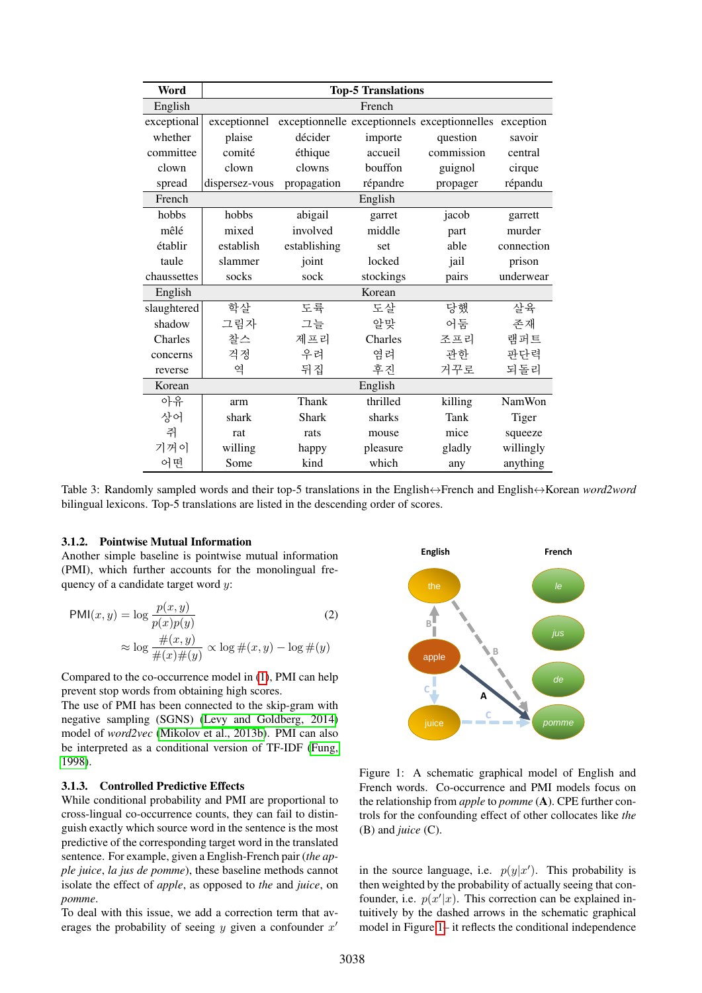| Word        |                |              | <b>Top-5 Translations</b> |                                              |               |
|-------------|----------------|--------------|---------------------------|----------------------------------------------|---------------|
| English     |                |              | French                    |                                              |               |
| exceptional | exceptionnel   |              |                           | exceptionnelle exceptionnels exceptionnelles | exception     |
| whether     | plaise         | décider      | importe                   | question                                     | savoir        |
| committee   | comité         | éthique      | accueil                   | commission                                   | central       |
| clown       | clown          | clowns       | bouffon                   | guignol                                      | cirque        |
| spread      | dispersez-vous | propagation  | répandre                  | propager                                     | répandu       |
| French      |                |              | English                   |                                              |               |
| hobbs       | hobbs          | abigail      | garret                    | jacob                                        | garrett       |
| mêlé        | mixed          | involved     | middle                    | part                                         | murder        |
| établir     | establish      | establishing | set                       | able                                         | connection    |
| taule       | slammer        | joint        | locked                    | jail                                         | prison        |
| chaussettes | socks          | sock         | stockings                 | pairs                                        | underwear     |
| English     |                |              | Korean                    |                                              |               |
| slaughtered | 학살             | 도륙           | 도살                        | 당했                                           | 살육            |
| shadow      | 그림자            | 그늘           | 알맞                        | 어둠                                           | 존재            |
| Charles     | 찰스             | 제프리          | Charles                   | 조프리                                          | 램퍼트           |
| concerns    | 걱정             | 우려           | 염려                        | 관한                                           | 판단력           |
| reverse     | 역              | 뒤집           | 후진                        | 거꾸로                                          | 되돌리           |
| Korean      |                |              | English                   |                                              |               |
| 아유          | arm            | Thank        | thrilled                  | killing                                      | <b>NamWon</b> |
| 상어          | shark          | <b>Shark</b> | sharks                    | Tank                                         | Tiger         |
| 쥐           | rat            | rats         | mouse                     | mice                                         | squeeze       |
| 기꺼이         | willing        | happy        | pleasure                  | gladly                                       | willingly     |
| 어떤          | Some           | kind         | which                     | any                                          | anything      |

Table 3: Randomly sampled words and their top-5 translations in the English↔French and English↔Korean *word2word* bilingual lexicons. Top-5 translations are listed in the descending order of scores.

### 3.1.2. Pointwise Mutual Information

Another simple baseline is pointwise mutual information (PMI), which further accounts for the monolingual frequency of a candidate target word  $y$ :

$$
PMI(x, y) = \log \frac{p(x, y)}{p(x)p(y)}
$$
\n
$$
\approx \log \frac{\#(x, y)}{\#(x)\#(y)} \propto \log \#(x, y) - \log \#(y)
$$
\n(2)

Compared to the co-occurrence model in [\(1\)](#page-1-2), PMI can help prevent stop words from obtaining high scores.

The use of PMI has been connected to the skip-gram with negative sampling (SGNS) [\(Levy and Goldberg, 2014\)](#page-6-11) model of *word2vec* [\(Mikolov et al., 2013b\)](#page-6-12). PMI can also be interpreted as a conditional version of TF-IDF [\(Fung,](#page-5-0) [1998\)](#page-5-0).

### <span id="page-2-2"></span>3.1.3. Controlled Predictive Effects

While conditional probability and PMI are proportional to cross-lingual co-occurrence counts, they can fail to distinguish exactly which source word in the sentence is the most predictive of the corresponding target word in the translated sentence. For example, given a English-French pair (*the apple juice*, *la jus de pomme*), these baseline methods cannot isolate the effect of *apple*, as opposed to *the* and *juice*, on *pomme*.

To deal with this issue, we add a correction term that averages the probability of seeing  $y$  given a confounder  $x'$ 

<span id="page-2-0"></span>

<span id="page-2-1"></span>Figure 1: A schematic graphical model of English and French words. Co-occurrence and PMI models focus on the relationship from *apple* to *pomme* (A). CPE further controls for the confounding effect of other collocates like *the* (B) and *juice* (C).

in the source language, i.e.  $p(y|x')$ . This probability is then weighted by the probability of actually seeing that confounder, i.e.  $p(x'|x)$ . This correction can be explained intuitively by the dashed arrows in the schematic graphical model in Figure [1–](#page-2-1) it reflects the conditional independence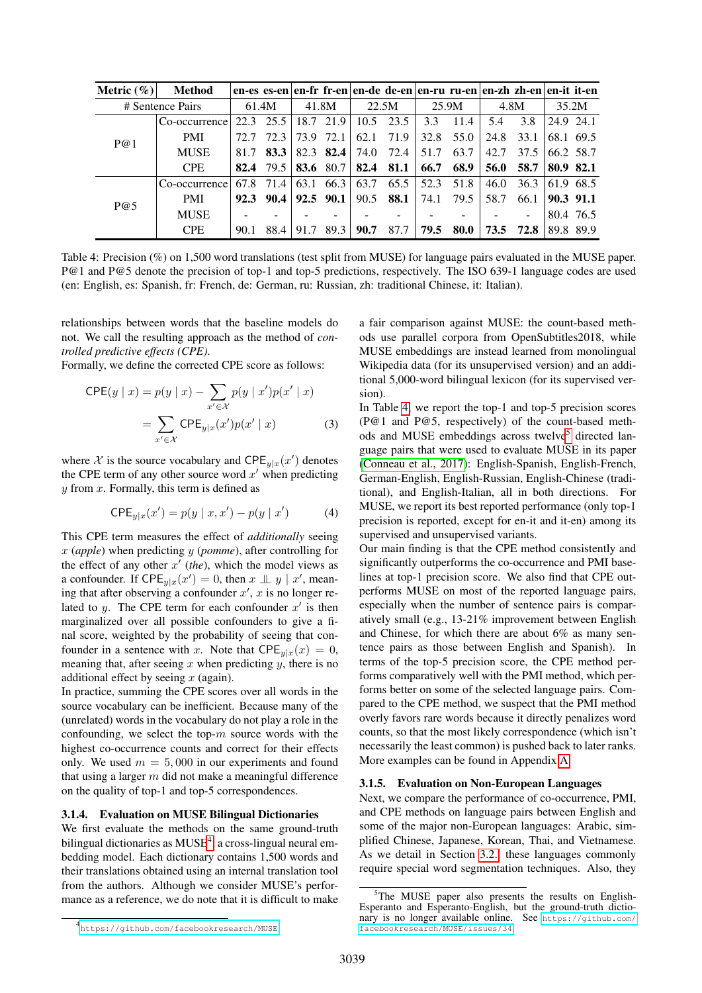| Metric $(\% )$ | <b>Method</b>    |      |       |      |               |       |      |      |           | en-es es-en en-fr fr-en en-de de-en en-ru ru-en en-zh zh-en en-it it-en |      |           |           |
|----------------|------------------|------|-------|------|---------------|-------|------|------|-----------|-------------------------------------------------------------------------|------|-----------|-----------|
|                | # Sentence Pairs |      | 61.4M |      | 41.8M         | 22.5M |      |      | 25.9M     | 4.8M                                                                    |      |           | 35.2M     |
|                | Co-occurrence    | 22.3 | 25.5  |      | 18.7 21.9     | 10.5  | 23.5 | 3.3  | 11.4      | 5.4                                                                     | 3.8  | 24.9 24.1 |           |
| P@1            | <b>PMI</b>       | 72.7 | 72.3  | 73.9 | 72.1          | 62.1  | 71.9 | 32.8 | 55.0      | 24.8                                                                    | 33.1 |           | 68.1 69.5 |
|                | <b>MUSE</b>      | 81.7 | 83.3  |      | 82.3 82.4     | 74.0  | 72.4 | 51.7 | 63.7      | 42.7                                                                    | 37.5 | 66.2 58.7 |           |
|                | <b>CPE</b>       | 82.4 | 79.5  | 83.6 | 80.7          | 82.4  | 81.1 | 66.7 | 68.9      | 56.0                                                                    | 58.7 | 80.9 82.1 |           |
|                | Co-occurrence    | 67.8 | 71.4  | 63.1 | 66.3          | 63.7  | 65.5 |      | 52.3 51.8 | 46.0                                                                    | 36.3 |           | 61.9 68.5 |
| P@5            | <b>PMI</b>       | 92.3 | 90.4  |      | $92.5$ $90.1$ | 90.5  | 88.1 | 74.1 | 79.5      | 58.7                                                                    | 66.1 | 90.3 91.1 |           |
|                | <b>MUSE</b>      |      |       |      |               |       |      |      |           |                                                                         |      |           | 80.4 76.5 |
|                | <b>CPE</b>       | 90.1 | 88.4  | 91.7 | 89.3          | 90.7  | 87.7 | 79.5 | 80.0      | 73.5                                                                    | 72.8 |           | 89.8 89.9 |

Table 4: Precision (%) on 1,500 word translations (test split from MUSE) for language pairs evaluated in the MUSE paper. P@1 and P@5 denote the precision of top-1 and top-5 predictions, respectively. The ISO 639-1 language codes are used (en: English, es: Spanish, fr: French, de: German, ru: Russian, zh: traditional Chinese, it: Italian).

relationships between words that the baseline models do not. We call the resulting approach as the method of *controlled predictive effects (CPE)*.

Formally, we define the corrected CPE score as follows:

$$
CPE(y \mid x) = p(y \mid x) - \sum_{x' \in \mathcal{X}} p(y \mid x')p(x' \mid x)
$$

$$
= \sum_{x' \in \mathcal{X}} CPE_{y|x}(x')p(x' \mid x) \tag{3}
$$

where X is the source vocabulary and  $\text{CPE}_{y|x}(x')$  denotes the CPE term of any other source word  $x'$  when predicting  $y$  from  $x$ . Formally, this term is defined as

$$
CPE_{y|x}(x') = p(y | x, x') - p(y | x')
$$
 (4)

This CPE term measures the effect of *additionally* seeing x (*apple*) when predicting y (*pomme*), after controlling for the effect of any other  $x'$  (the), which the model views as a confounder. If  $\mathsf{CPE}_{y|x}(x') = 0$ , then  $x \perp y \mid x'$ , meaning that after observing a confounder  $x'$ ,  $x$  is no longer related to y. The CPE term for each confounder  $x'$  is then marginalized over all possible confounders to give a final score, weighted by the probability of seeing that confounder in a sentence with x. Note that  $\text{CPE}_{y|x}(x) = 0$ , meaning that, after seeing  $x$  when predicting  $y$ , there is no additional effect by seeing  $x$  (again).

In practice, summing the CPE scores over all words in the source vocabulary can be inefficient. Because many of the (unrelated) words in the vocabulary do not play a role in the confounding, we select the top- $m$  source words with the highest co-occurrence counts and correct for their effects only. We used  $m = 5,000$  in our experiments and found that using a larger  $m$  did not make a meaningful difference on the quality of top-1 and top-5 correspondences.

### 3.1.4. Evaluation on MUSE Bilingual Dictionaries

We first evaluate the methods on the same ground-truth bilingual dictionaries as MUSE<sup>[4](#page-3-0)</sup>, a cross-lingual neural embedding model. Each dictionary contains 1,500 words and their translations obtained using an internal translation tool from the authors. Although we consider MUSE's performance as a reference, we do note that it is difficult to make <span id="page-3-1"></span>a fair comparison against MUSE: the count-based methods use parallel corpora from OpenSubtitles2018, while MUSE embeddings are instead learned from monolingual Wikipedia data (for its unsupervised version) and an additional 5,000-word bilingual lexicon (for its supervised version).

In Table [4,](#page-3-1) we report the top-1 and top-5 precision scores (P@1 and P@5, respectively) of the count-based meth-ods and MUSE embeddings across twelve<sup>[5](#page-3-2)</sup> directed language pairs that were used to evaluate MUSE in its paper [\(Conneau et al., 2017\)](#page-5-2): English-Spanish, English-French, German-English, English-Russian, English-Chinese (traditional), and English-Italian, all in both directions. For MUSE, we report its best reported performance (only top-1 precision is reported, except for en-it and it-en) among its supervised and unsupervised variants.

Our main finding is that the CPE method consistently and significantly outperforms the co-occurrence and PMI baselines at top-1 precision score. We also find that CPE outperforms MUSE on most of the reported language pairs, especially when the number of sentence pairs is comparatively small (e.g., 13-21% improvement between English and Chinese, for which there are about 6% as many sentence pairs as those between English and Spanish). In terms of the top-5 precision score, the CPE method performs comparatively well with the PMI method, which performs better on some of the selected language pairs. Compared to the CPE method, we suspect that the PMI method overly favors rare words because it directly penalizes word counts, so that the most likely correspondence (which isn't necessarily the least common) is pushed back to later ranks. More examples can be found in Appendix [A](#page-7-1)

#### 3.1.5. Evaluation on Non-European Languages

Next, we compare the performance of co-occurrence, PMI, and CPE methods on language pairs between English and some of the major non-European languages: Arabic, simplified Chinese, Japanese, Korean, Thai, and Vietnamese. As we detail in Section [3.2.,](#page-4-0) these languages commonly require special word segmentation techniques. Also, they

<span id="page-3-2"></span><sup>&</sup>lt;sup>5</sup>The MUSE paper also presents the results on English-Esperanto and Esperanto-English, but the ground-truth dictionary is no longer available online. See [https://github.com/](https://github.com/facebookresearch/MUSE/issues/34) [facebookresearch/MUSE/issues/34](https://github.com/facebookresearch/MUSE/issues/34).

<span id="page-3-0"></span><sup>4</sup> <https://github.com/facebookresearch/MUSE>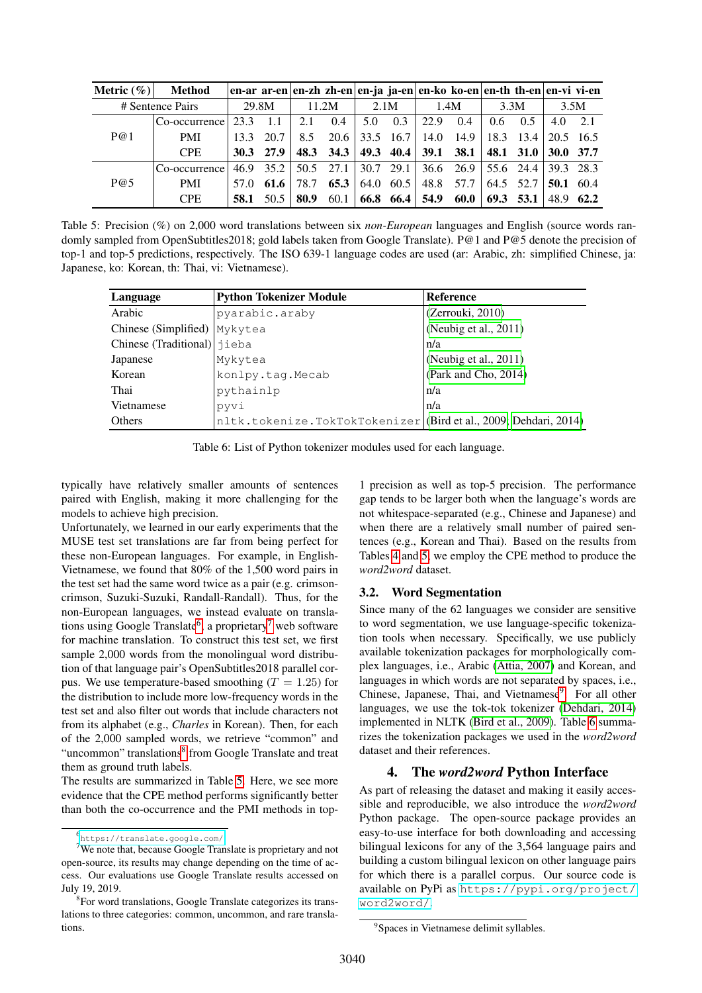| Metric $(\%) $ | Method           |      |             |      | en-ar ar-en en-zh zh-en en-ja ja-en en-ko ko-en en-th th-en en-vi vi-en |                 |           |                     |                                              |     |                              |                   |           |  |
|----------------|------------------|------|-------------|------|-------------------------------------------------------------------------|-----------------|-----------|---------------------|----------------------------------------------|-----|------------------------------|-------------------|-----------|--|
|                | # Sentence Pairs |      | 29.8M       |      | 11.2M                                                                   |                 | 2.1M      |                     | 1.4M                                         |     | 3.3M                         | 3.5M              |           |  |
|                | Co-occurrence    | 23.3 | $-1.1$      | 2.1  | 0.4                                                                     | 5.0             | 0.3       | 22.9                | 0.4                                          | 0.6 | 0.5                          | $4.0\quad 2.1$    |           |  |
| P@1            | <b>PMI</b>       | 13.3 | 20.7        | 8.5  | 20.6                                                                    | $ 33.5 \t16.7 $ |           |                     | 14.0 14.9                                    |     | $18.3$ $13.4$ $120.5$ $16.5$ |                   |           |  |
|                | <b>CPE</b>       |      | $30.3$ 27.9 |      | 48.3 34.3                                                               |                 |           | 49.3 40.4 39.1 38.1 |                                              |     | 48.1 $31.0$ 30.0 37.7        |                   |           |  |
|                | Co-occurrence    |      |             |      | 46.9 35.2 50.5 27.1 30.7 29.1                                           |                 |           |                     | $36.6$ 26.9 $\overline{55.6}$ 24.4 39.3 28.3 |     |                              |                   |           |  |
| P@5            | <b>PMI</b>       | 57.0 | 61.6        | 78.7 | 65.3                                                                    |                 | 64.0 60.5 |                     | 48.8 57.7                                    |     | 64.5 52.7                    | $50.1 \quad 60.4$ |           |  |
|                | <b>CPE</b>       | 58.1 | 50.5        | 80.9 | 60.1                                                                    |                 |           | 66.8 66.4 54.9 60.0 |                                              |     | $69.3$ 53.1                  |                   | 48.9 62.2 |  |

Table 5: Precision (%) on 2,000 word translations between six *non-European* languages and English (source words randomly sampled from OpenSubtitles2018; gold labels taken from Google Translate). P@1 and P@5 denote the precision of top-1 and top-5 predictions, respectively. The ISO 639-1 language codes are used (ar: Arabic, zh: simplified Chinese, ja: Japanese, ko: Korean, th: Thai, vi: Vietnamese).

| Language                     | <b>Python Tokenizer Module</b>                                   | <b>Reference</b>         |
|------------------------------|------------------------------------------------------------------|--------------------------|
| Arabic                       | pyarabic.araby                                                   | (Zerrouki, 2010)         |
| Chinese (Simplified) Mykytea |                                                                  | (Neubig et al., 2011)    |
| Chinese (Traditional) jieba  |                                                                  | n/a                      |
| Japanese                     | Mykytea                                                          | (Neubig et al., $2011$ ) |
| Korean                       | konlpy.tag.Mecab                                                 | (Park and Cho, 2014)     |
| Thai                         | pythainlp                                                        | n/a                      |
| Vietnamese                   | pyvi                                                             | n/a                      |
| <b>Others</b>                | nltk.tokenize.TokTokTokenizer (Bird et al., 2009; Dehdari, 2014) |                          |

Table 6: List of Python tokenizer modules used for each language.

typically have relatively smaller amounts of sentences paired with English, making it more challenging for the models to achieve high precision.

Unfortunately, we learned in our early experiments that the MUSE test set translations are far from being perfect for these non-European languages. For example, in English-Vietnamese, we found that 80% of the 1,500 word pairs in the test set had the same word twice as a pair (e.g. crimsoncrimson, Suzuki-Suzuki, Randall-Randall). Thus, for the non-European languages, we instead evaluate on transla-tions using Google Translate<sup>[6](#page-4-1)</sup>, a proprietary<sup>[7](#page-4-2)</sup> web software for machine translation. To construct this test set, we first sample 2,000 words from the monolingual word distribution of that language pair's OpenSubtitles2018 parallel corpus. We use temperature-based smoothing  $(T = 1.25)$  for the distribution to include more low-frequency words in the test set and also filter out words that include characters not from its alphabet (e.g., *Charles* in Korean). Then, for each of the 2,000 sampled words, we retrieve "common" and "uncommon" translations<sup>[8](#page-4-3)</sup> from Google Translate and treat them as ground truth labels.

The results are summarized in Table [5.](#page-4-4) Here, we see more evidence that the CPE method performs significantly better than both the co-occurrence and the PMI methods in top-

<span id="page-4-6"></span><span id="page-4-4"></span>1 precision as well as top-5 precision. The performance gap tends to be larger both when the language's words are not whitespace-separated (e.g., Chinese and Japanese) and when there are a relatively small number of paired sentences (e.g., Korean and Thai). Based on the results from Tables [4](#page-3-1) and [5,](#page-4-4) we employ the CPE method to produce the *word2word* dataset.

### <span id="page-4-0"></span>3.2. Word Segmentation

Since many of the 62 languages we consider are sensitive to word segmentation, we use language-specific tokenization tools when necessary. Specifically, we use publicly available tokenization packages for morphologically complex languages, i.e., Arabic [\(Attia, 2007\)](#page-5-9) and Korean, and languages in which words are not separated by spaces, i.e., Chinese, Japanese, Thai, and Vietnamese<sup>[9](#page-4-5)</sup>. For all other languages, we use the tok-tok tokenizer [\(Dehdari, 2014\)](#page-5-8) implemented in NLTK [\(Bird et al., 2009\)](#page-5-7). Table [6](#page-4-6) summarizes the tokenization packages we used in the *word2word* dataset and their references.

# 4. The *word2word* Python Interface

As part of releasing the dataset and making it easily accessible and reproducible, we also introduce the *word2word* Python package. The open-source package provides an easy-to-use interface for both downloading and accessing bilingual lexicons for any of the 3,564 language pairs and building a custom bilingual lexicon on other language pairs for which there is a parallel corpus. Our source code is available on PyPi as [https://pypi.org/project/](https://pypi.org/project/word2word/) [word2word/](https://pypi.org/project/word2word/).

<span id="page-4-2"></span><span id="page-4-1"></span><sup>6</sup> <https://translate.google.com/>

<sup>&</sup>lt;sup>7</sup>We note that, because Google Translate is proprietary and not open-source, its results may change depending on the time of access. Our evaluations use Google Translate results accessed on July 19, 2019.

<span id="page-4-3"></span><sup>&</sup>lt;sup>8</sup> For word translations, Google Translate categorizes its translations to three categories: common, uncommon, and rare translations.

<span id="page-4-5"></span><sup>&</sup>lt;sup>9</sup>Spaces in Vietnamese delimit syllables.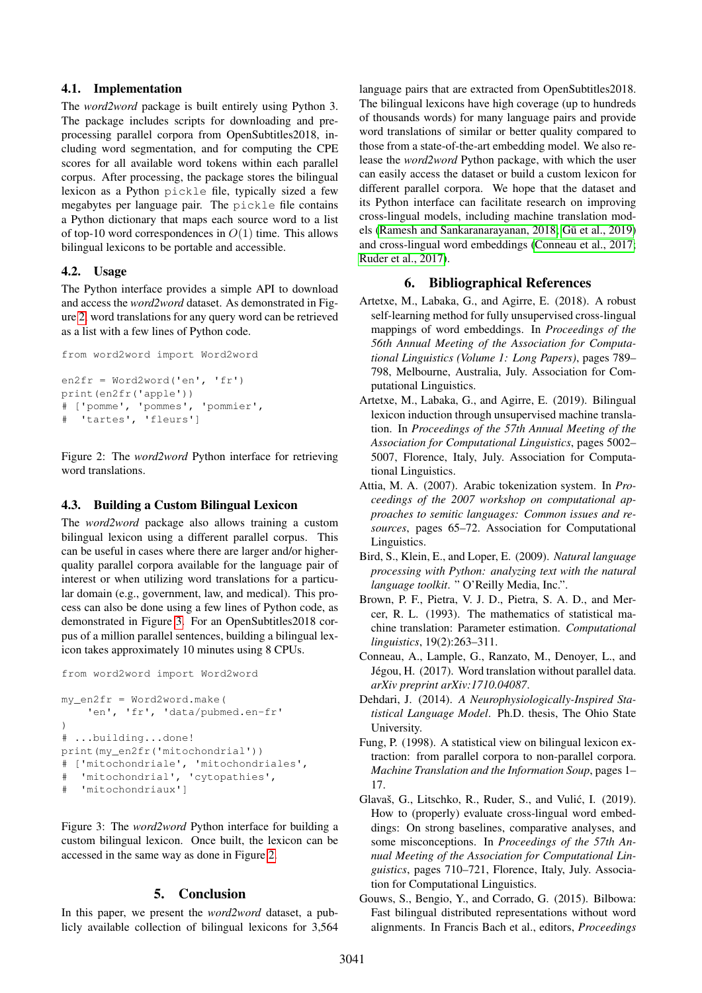## 4.1. Implementation

The *word2word* package is built entirely using Python 3. The package includes scripts for downloading and preprocessing parallel corpora from OpenSubtitles2018, including word segmentation, and for computing the CPE scores for all available word tokens within each parallel corpus. After processing, the package stores the bilingual lexicon as a Python pickle file, typically sized a few megabytes per language pair. The pickle file contains a Python dictionary that maps each source word to a list of top-10 word correspondences in  $O(1)$  time. This allows bilingual lexicons to be portable and accessible.

## 4.2. Usage

The Python interface provides a simple API to download and access the *word2word* dataset. As demonstrated in Figure [2,](#page-5-10) word translations for any query word can be retrieved as a list with a few lines of Python code.

```
from word2word import Word2word
en2fr = Word2word('en', 'fr')
print(en2fr('apple'))
# ['pomme', 'pommes', 'pommier',
  'tartes', 'fleurs']
```
<span id="page-5-10"></span>Figure 2: The *word2word* Python interface for retrieving word translations.

## 4.3. Building a Custom Bilingual Lexicon

The *word2word* package also allows training a custom bilingual lexicon using a different parallel corpus. This can be useful in cases where there are larger and/or higherquality parallel corpora available for the language pair of interest or when utilizing word translations for a particular domain (e.g., government, law, and medical). This process can also be done using a few lines of Python code, as demonstrated in Figure [3.](#page-5-11) For an OpenSubtitles2018 corpus of a million parallel sentences, building a bilingual lexicon takes approximately 10 minutes using 8 CPUs.

```
from word2word import Word2word
```

```
my_en2fr = Word2word.make(
    'en', 'fr', 'data/pubmed.en-fr'
)
# ...building...done!
print(my_en2fr('mitochondrial'))
# ['mitochondriale', 'mitochondriales',
# 'mitochondrial', 'cytopathies',
# 'mitochondriaux']
```
<span id="page-5-11"></span>Figure 3: The *word2word* Python interface for building a custom bilingual lexicon. Once built, the lexicon can be accessed in the same way as done in Figure [2.](#page-5-10)

### 5. Conclusion

In this paper, we present the *word2word* dataset, a publicly available collection of bilingual lexicons for 3,564 language pairs that are extracted from OpenSubtitles2018. The bilingual lexicons have high coverage (up to hundreds of thousands words) for many language pairs and provide word translations of similar or better quality compared to those from a state-of-the-art embedding model. We also release the *word2word* Python package, with which the user can easily access the dataset or build a custom lexicon for different parallel corpora. We hope that the dataset and its Python interface can facilitate research on improving cross-lingual models, including machine translation mod-els [\(Ramesh and Sankaranarayanan, 2018;](#page-6-1) Gū et al., 2019) and cross-lingual word embeddings [\(Conneau et al., 2017;](#page-5-2) [Ruder et al., 2017\)](#page-6-3).

### 6. Bibliographical References

- <span id="page-5-3"></span>Artetxe, M., Labaka, G., and Agirre, E. (2018). A robust self-learning method for fully unsupervised cross-lingual mappings of word embeddings. In *Proceedings of the 56th Annual Meeting of the Association for Computational Linguistics (Volume 1: Long Papers)*, pages 789– 798, Melbourne, Australia, July. Association for Computational Linguistics.
- <span id="page-5-4"></span>Artetxe, M., Labaka, G., and Agirre, E. (2019). Bilingual lexicon induction through unsupervised machine translation. In *Proceedings of the 57th Annual Meeting of the Association for Computational Linguistics*, pages 5002– 5007, Florence, Italy, July. Association for Computational Linguistics.
- <span id="page-5-9"></span>Attia, M. A. (2007). Arabic tokenization system. In *Proceedings of the 2007 workshop on computational approaches to semitic languages: Common issues and resources*, pages 65–72. Association for Computational Linguistics.
- <span id="page-5-7"></span>Bird, S., Klein, E., and Loper, E. (2009). *Natural language processing with Python: analyzing text with the natural language toolkit*. " O'Reilly Media, Inc.".
- <span id="page-5-6"></span>Brown, P. F., Pietra, V. J. D., Pietra, S. A. D., and Mercer, R. L. (1993). The mathematics of statistical machine translation: Parameter estimation. *Computational linguistics*, 19(2):263–311.
- <span id="page-5-2"></span>Conneau, A., Lample, G., Ranzato, M., Denoyer, L., and Jégou, H. (2017). Word translation without parallel data. *arXiv preprint arXiv:1710.04087*.

<span id="page-5-8"></span>Dehdari, J. (2014). *A Neurophysiologically-Inspired Statistical Language Model*. Ph.D. thesis, The Ohio State University.

- <span id="page-5-0"></span>Fung, P. (1998). A statistical view on bilingual lexicon extraction: from parallel corpora to non-parallel corpora. *Machine Translation and the Information Soup*, pages 1– 17.
- <span id="page-5-5"></span>Glavaš, G., Litschko, R., Ruder, S., and Vulić, I. (2019). How to (properly) evaluate cross-lingual word embeddings: On strong baselines, comparative analyses, and some misconceptions. In *Proceedings of the 57th Annual Meeting of the Association for Computational Linguistics*, pages 710–721, Florence, Italy, July. Association for Computational Linguistics.
- <span id="page-5-1"></span>Gouws, S., Bengio, Y., and Corrado, G. (2015). Bilbowa: Fast bilingual distributed representations without word alignments. In Francis Bach et al., editors, *Proceedings*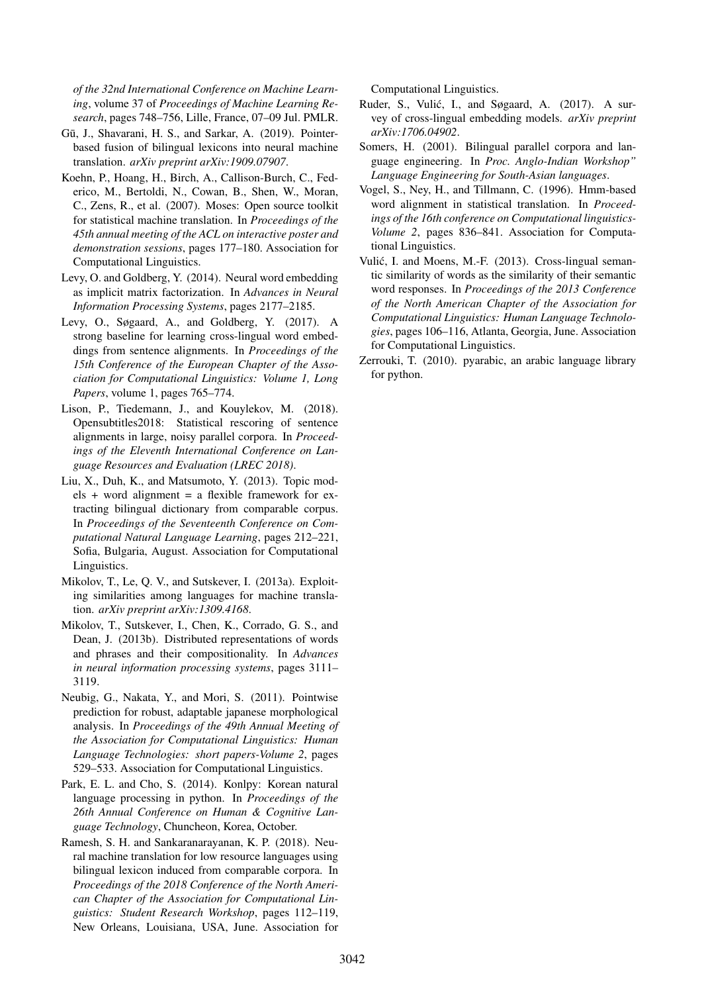*of the 32nd International Conference on Machine Learning*, volume 37 of *Proceedings of Machine Learning Research*, pages 748–756, Lille, France, 07–09 Jul. PMLR.

- <span id="page-6-2"></span>Gū, J., Shavarani, H. S., and Sarkar, A. (2019). Pointerbased fusion of bilingual lexicons into neural machine translation. *arXiv preprint arXiv:1909.07907*.
- <span id="page-6-9"></span>Koehn, P., Hoang, H., Birch, A., Callison-Burch, C., Federico, M., Bertoldi, N., Cowan, B., Shen, W., Moran, C., Zens, R., et al. (2007). Moses: Open source toolkit for statistical machine translation. In *Proceedings of the 45th annual meeting of the ACL on interactive poster and demonstration sessions*, pages 177–180. Association for Computational Linguistics.
- <span id="page-6-11"></span>Levy, O. and Goldberg, Y. (2014). Neural word embedding as implicit matrix factorization. In *Advances in Neural Information Processing Systems*, pages 2177–2185.
- <span id="page-6-4"></span>Levy, O., Søgaard, A., and Goldberg, Y. (2017). A strong baseline for learning cross-lingual word embeddings from sentence alignments. In *Proceedings of the 15th Conference of the European Chapter of the Association for Computational Linguistics: Volume 1, Long Papers*, volume 1, pages 765–774.
- <span id="page-6-0"></span>Lison, P., Tiedemann, J., and Kouylekov, M. (2018). Opensubtitles2018: Statistical rescoring of sentence alignments in large, noisy parallel corpora. In *Proceedings of the Eleventh International Conference on Language Resources and Evaluation (LREC 2018)*.
- <span id="page-6-6"></span>Liu, X., Duh, K., and Matsumoto, Y. (2013). Topic mod $els + word alignment = a flexible framework for ex$ tracting bilingual dictionary from comparable corpus. In *Proceedings of the Seventeenth Conference on Computational Natural Language Learning*, pages 212–221, Sofia, Bulgaria, August. Association for Computational Linguistics.
- <span id="page-6-7"></span>Mikolov, T., Le, Q. V., and Sutskever, I. (2013a). Exploiting similarities among languages for machine translation. *arXiv preprint arXiv:1309.4168*.
- <span id="page-6-12"></span>Mikolov, T., Sutskever, I., Chen, K., Corrado, G. S., and Dean, J. (2013b). Distributed representations of words and phrases and their compositionality. In *Advances in neural information processing systems*, pages 3111– 3119.
- <span id="page-6-14"></span>Neubig, G., Nakata, Y., and Mori, S. (2011). Pointwise prediction for robust, adaptable japanese morphological analysis. In *Proceedings of the 49th Annual Meeting of the Association for Computational Linguistics: Human Language Technologies: short papers-Volume 2*, pages 529–533. Association for Computational Linguistics.
- <span id="page-6-15"></span>Park, E. L. and Cho, S. (2014). Konlpy: Korean natural language processing in python. In *Proceedings of the 26th Annual Conference on Human & Cognitive Language Technology*, Chuncheon, Korea, October.
- <span id="page-6-1"></span>Ramesh, S. H. and Sankaranarayanan, K. P. (2018). Neural machine translation for low resource languages using bilingual lexicon induced from comparable corpora. In *Proceedings of the 2018 Conference of the North American Chapter of the Association for Computational Linguistics: Student Research Workshop*, pages 112–119, New Orleans, Louisiana, USA, June. Association for

Computational Linguistics.

- <span id="page-6-3"></span>Ruder, S., Vulić, I., and Søgaard, A. (2017). A survey of cross-lingual embedding models. *arXiv preprint arXiv:1706.04902*.
- <span id="page-6-10"></span>Somers, H. (2001). Bilingual parallel corpora and language engineering. In *Proc. Anglo-Indian Workshop" Language Engineering for South-Asian languages*.
- <span id="page-6-8"></span>Vogel, S., Ney, H., and Tillmann, C. (1996). Hmm-based word alignment in statistical translation. In *Proceedings of the 16th conference on Computational linguistics-Volume 2*, pages 836–841. Association for Computational Linguistics.
- <span id="page-6-5"></span>Vulić, I. and Moens, M.-F. (2013). Cross-lingual semantic similarity of words as the similarity of their semantic word responses. In *Proceedings of the 2013 Conference of the North American Chapter of the Association for Computational Linguistics: Human Language Technologies*, pages 106–116, Atlanta, Georgia, June. Association for Computational Linguistics.
- <span id="page-6-13"></span>Zerrouki, T. (2010). pyarabic, an arabic language library for python.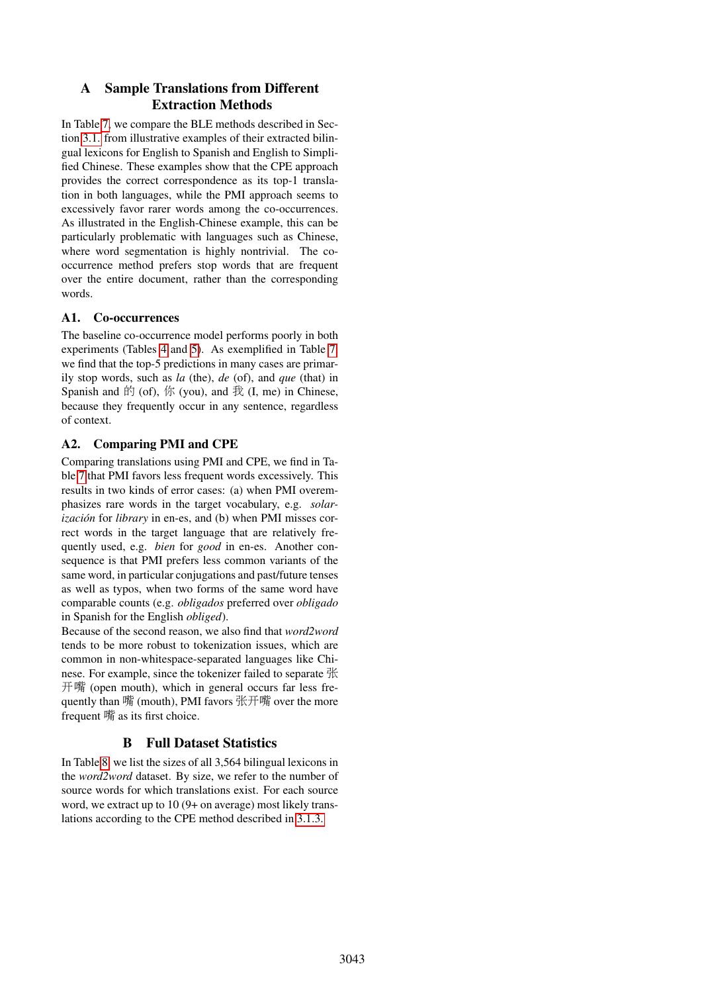# <span id="page-7-1"></span>A Sample Translations from Different Extraction Methods

In Table [7,](#page-8-0) we compare the BLE methods described in Section [3.1.](#page-1-1) from illustrative examples of their extracted bilingual lexicons for English to Spanish and English to Simplified Chinese. These examples show that the CPE approach provides the correct correspondence as its top-1 translation in both languages, while the PMI approach seems to excessively favor rarer words among the co-occurrences. As illustrated in the English-Chinese example, this can be particularly problematic with languages such as Chinese, where word segmentation is highly nontrivial. The cooccurrence method prefers stop words that are frequent over the entire document, rather than the corresponding words.

# A1. Co-occurrences

The baseline co-occurrence model performs poorly in both experiments (Tables [4](#page-3-1) and [5\)](#page-4-4). As exemplified in Table [7,](#page-8-0) we find that the top-5 predictions in many cases are primarily stop words, such as *la* (the), *de* (of), and *que* (that) in Spanish and  $\hat{F}$  (of),  $\hat{F}$  (you), and  $\hat{F}$  (I, me) in Chinese, because they frequently occur in any sentence, regardless of context.

# A2. Comparing PMI and CPE

Comparing translations using PMI and CPE, we find in Table [7](#page-8-0) that PMI favors less frequent words excessively. This results in two kinds of error cases: (a) when PMI overemphasizes rare words in the target vocabulary, e.g. *solarización* for *library* in en-es, and (b) when PMI misses correct words in the target language that are relatively frequently used, e.g. *bien* for *good* in en-es. Another consequence is that PMI prefers less common variants of the same word, in particular conjugations and past/future tenses as well as typos, when two forms of the same word have comparable counts (e.g. *obligados* preferred over *obligado* in Spanish for the English *obliged*).

Because of the second reason, we also find that *word2word* tends to be more robust to tokenization issues, which are common in non-whitespace-separated languages like Chinese. For example, since the tokenizer failed to separate 张 开<sup>嘴</sup> (open mouth), which in general occurs far less frequently than <sup>嘴</sup> (mouth), PMI favors 张开<sup>嘴</sup> over the more frequent 嘴 as its first choice.

# B Full Dataset Statistics

<span id="page-7-0"></span>In Table [8,](#page-9-0) we list the sizes of all 3,564 bilingual lexicons in the *word2word* dataset. By size, we refer to the number of source words for which translations exist. For each source word, we extract up to 10 (9+ on average) most likely translations according to the CPE method described in [3.1.3.](#page-2-2)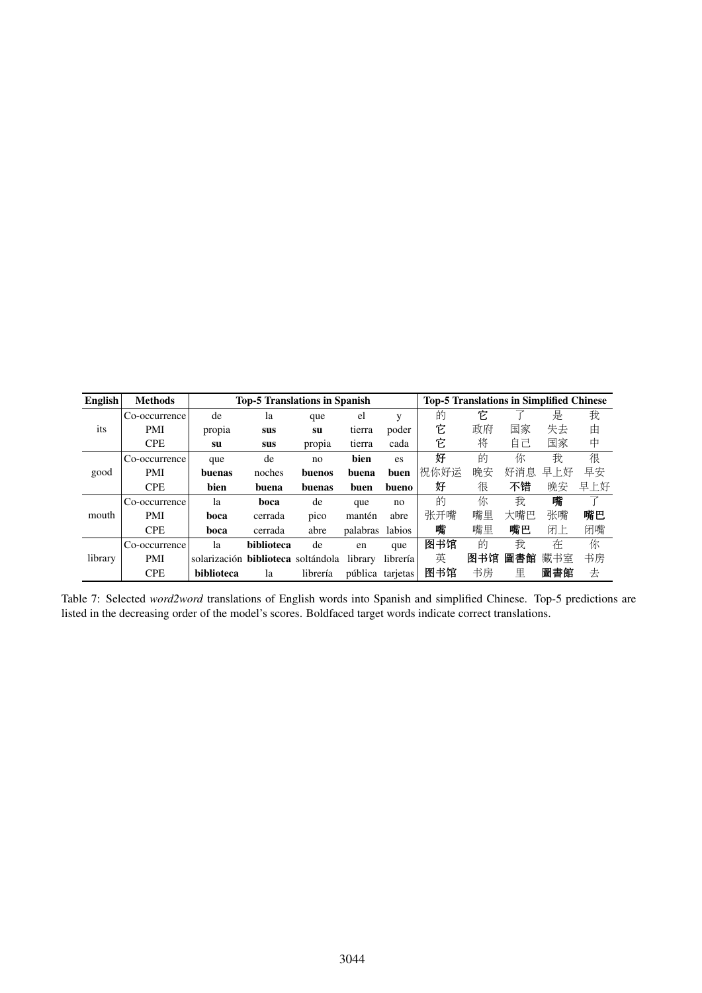<span id="page-8-0"></span>

| English | <b>Methods</b> |                                           | <b>Top-5 Translations in Spanish</b> |               |          |          | <b>Top-5 Translations in Simplified Chinese</b> |     |     |     |     |
|---------|----------------|-------------------------------------------|--------------------------------------|---------------|----------|----------|-------------------------------------------------|-----|-----|-----|-----|
|         | Co-occurrence  | de                                        | la                                   | que           | el       | v        | 的                                               | Ė.  |     | 是   | 我   |
| its     | <b>PMI</b>     | propia                                    | sus                                  | su            | tierra   | poder    | 它                                               | 政府  | 国家  | 失去  | 由   |
|         | <b>CPE</b>     | su                                        | sus                                  | propia        | tierra   | cada     | 它                                               | 将   | 自己  | 国家  | 中   |
|         | Co-occurrence  | que                                       | de                                   | no            | bien     | es.      | 好                                               | 的   | 你   | 我   | 很   |
| good    | <b>PMI</b>     | buenas                                    | noches                               | <b>buenos</b> | buena    | buen     | 祝你好运                                            | 晚安  | 好消息 | 早上好 | 早安  |
|         | <b>CPE</b>     | bien                                      | buena                                | buenas        | buen     | bueno    | 好                                               | 很   | 不错  | 晚安  | 早上好 |
|         | Co-occurrence  | la                                        | boca                                 | de            | que      | no       | 的                                               | 你   | 我   | 嘴   |     |
| mouth   | <b>PMI</b>     | boca                                      | cerrada                              | pico          | mantén   | abre     | 张开嘴                                             | 嘴里  | 大嘴巴 | 张嘴  | 嘴巴  |
|         | <b>CPE</b>     | boca                                      | cerrada                              | abre          | palabras | labios   | 嘴                                               | 嘴里  | 嘴巴  | 闭上  | 闭嘴  |
|         | Co-occurrence  | la                                        | <b>biblioteca</b>                    | de            | en       | que      | 图书馆                                             | 的   | 我   | 在   | 你   |
| library | <b>PMI</b>     | solarización <b>biblioteca</b> soltándola |                                      |               | library  | librería | 英                                               | 图书馆 | 圖書館 | 藏书室 | 书房  |
|         | <b>CPE</b>     | biblioteca                                | la                                   | librería      | pública  | tarjetas | 图书馆                                             | 书房  | 里   | 圖書館 | 去   |
|         |                |                                           |                                      |               |          |          |                                                 |     |     |     |     |

Table 7: Selected *word2word* translations of English words into Spanish and simplified Chinese. Top-5 predictions are listed in the decreasing order of the model's scores. Boldfaced target words indicate correct translations.